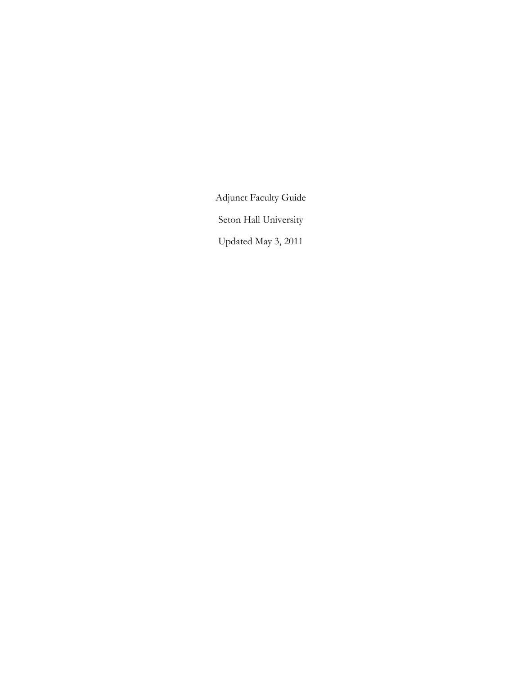Adjunct Faculty Guide

Seton Hall University

Updated May 3, 2011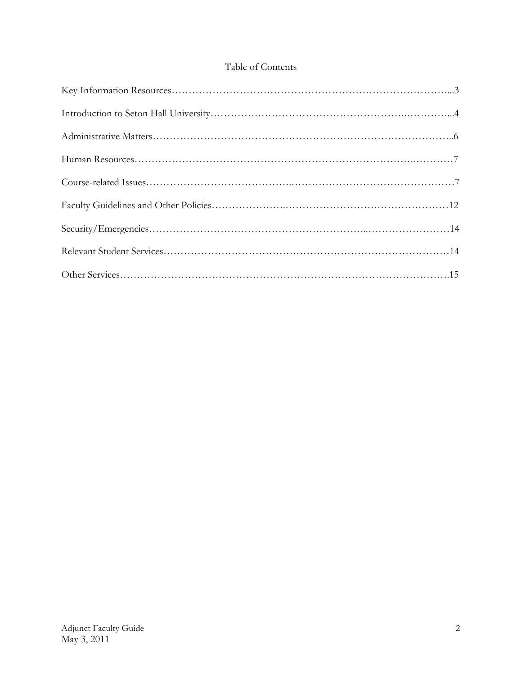### Table of Contents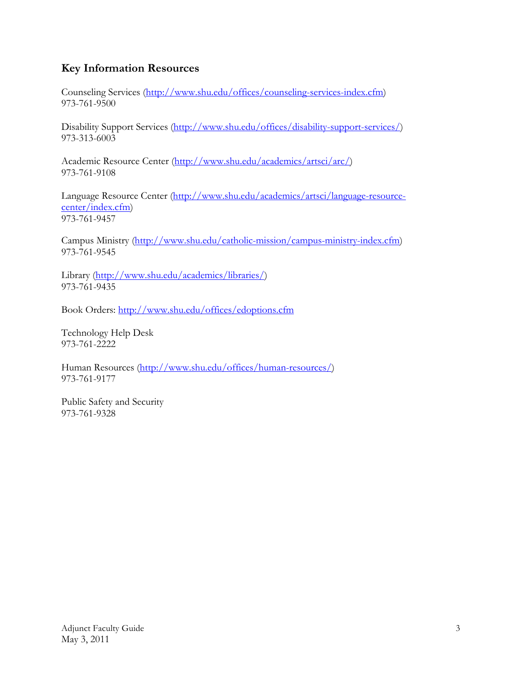# **Key Information Resources**

Counseling Services (http://www.shu.edu/offices/counseling-services-index.cfm) 973-761-9500

Disability Support Services (http://www.shu.edu/offices/disability-support-services/) 973-313-6003

Academic Resource Center (http://www.shu.edu/academics/artsci/arc/) 973-761-9108

Language Resource Center (http://www.shu.edu/academics/artsci/language-resourcecenter/index.cfm) 973-761-9457

Campus Ministry (http://www.shu.edu/catholic-mission/campus-ministry-index.cfm) 973-761-9545

Library (http://www.shu.edu/academics/libraries/) 973-761-9435

Book Orders: http://www.shu.edu/offices/edoptions.cfm

Technology Help Desk 973-761-2222

Human Resources (http://www.shu.edu/offices/human-resources/) 973-761-9177

Public Safety and Security 973-761-9328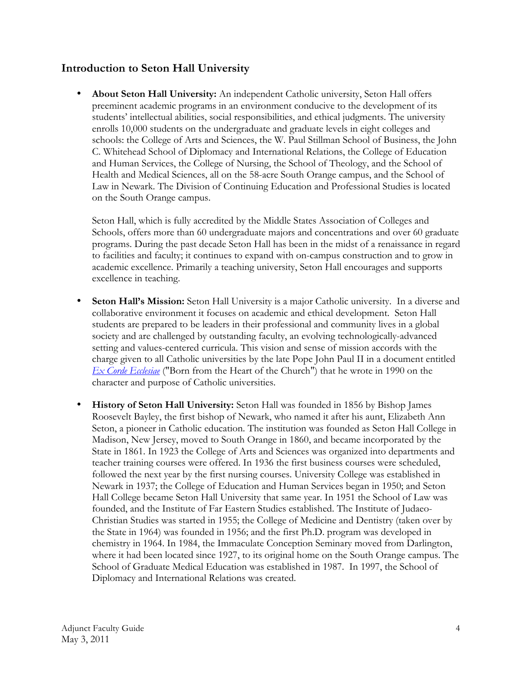## **Introduction to Seton Hall University**

• **About Seton Hall University:** An independent Catholic university, Seton Hall offers preeminent academic programs in an environment conducive to the development of its students' intellectual abilities, social responsibilities, and ethical judgments. The university enrolls 10,000 students on the undergraduate and graduate levels in eight colleges and schools: the College of Arts and Sciences, the W. Paul Stillman School of Business, the John C. Whitehead School of Diplomacy and International Relations, the College of Education and Human Services, the College of Nursing, the School of Theology, and the School of Health and Medical Sciences, all on the 58-acre South Orange campus, and the School of Law in Newark. The Division of Continuing Education and Professional Studies is located on the South Orange campus.

Seton Hall, which is fully accredited by the Middle States Association of Colleges and Schools, offers more than 60 undergraduate majors and concentrations and over 60 graduate programs. During the past decade Seton Hall has been in the midst of a renaissance in regard to facilities and faculty; it continues to expand with on-campus construction and to grow in academic excellence. Primarily a teaching university, Seton Hall encourages and supports excellence in teaching.

- **Seton Hall's Mission:** Seton Hall University is a major Catholic university. In a diverse and collaborative environment it focuses on academic and ethical development. Seton Hall students are prepared to be leaders in their professional and community lives in a global society and are challenged by outstanding faculty, an evolving technologically-advanced setting and values-centered curricula. This vision and sense of mission accords with the charge given to all Catholic universities by the late Pope John Paul II in a document entitled *Ex Corde Ecclesiae* ("Born from the Heart of the Church") that he wrote in 1990 on the character and purpose of Catholic universities.
- **History of Seton Hall University:** Seton Hall was founded in 1856 by Bishop James Roosevelt Bayley, the first bishop of Newark, who named it after his aunt, Elizabeth Ann Seton, a pioneer in Catholic education. The institution was founded as Seton Hall College in Madison, New Jersey, moved to South Orange in 1860, and became incorporated by the State in 1861. In 1923 the College of Arts and Sciences was organized into departments and teacher training courses were offered. In 1936 the first business courses were scheduled, followed the next year by the first nursing courses. University College was established in Newark in 1937; the College of Education and Human Services began in 1950; and Seton Hall College became Seton Hall University that same year. In 1951 the School of Law was founded, and the Institute of Far Eastern Studies established. The Institute of Judaeo-Christian Studies was started in 1955; the College of Medicine and Dentistry (taken over by the State in 1964) was founded in 1956; and the first Ph.D. program was developed in chemistry in 1964. In 1984, the Immaculate Conception Seminary moved from Darlington, where it had been located since 1927, to its original home on the South Orange campus. The School of Graduate Medical Education was established in 1987. In 1997, the School of Diplomacy and International Relations was created.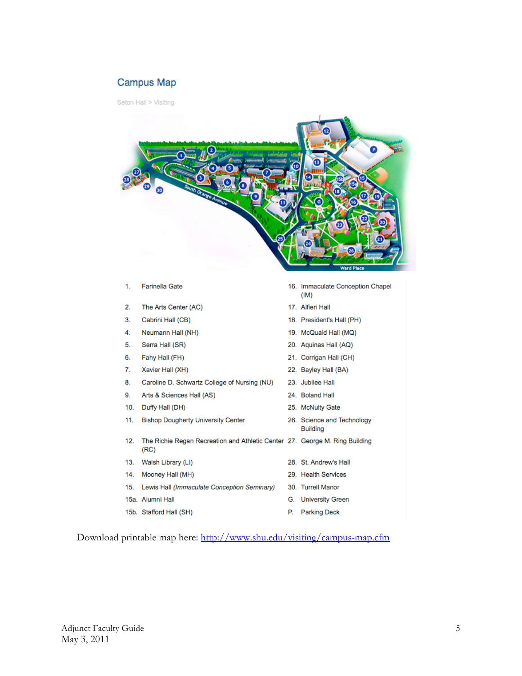### **Campus Map**

Seton Hall > Visiting



|     |     |                                                                                     |    | (IM)                                          |
|-----|-----|-------------------------------------------------------------------------------------|----|-----------------------------------------------|
| 2.  |     | The Arts Center (AC)                                                                |    | 17. Alfieri Hall                              |
| 3.  |     | Cabrini Hall (CB)                                                                   |    | 18. President's Hall (PH)                     |
| 4.  |     | Neumann Hall (NH)                                                                   |    | 19. McQuaid Hall (MQ)                         |
| 5.  |     | Serra Hall (SR)                                                                     |    | 20. Aquinas Hall (AQ)                         |
| 6.  |     | Fahy Hall (FH)                                                                      |    | 21. Corrigan Hall (CH)                        |
| 7.  |     | Xavier Hall (XH)                                                                    |    | 22. Bayley Hall (BA)                          |
| 8.  |     | Caroline D. Schwartz College of Nursing (NU)                                        |    | 23. Jubilee Hall                              |
| 9.  |     | Arts & Sciences Hall (AS)                                                           |    | 24. Boland Hall                               |
| 10. |     | Duffy Hall (DH)                                                                     |    | 25. McNulty Gate                              |
| 11. |     | <b>Bishop Dougherty University Center</b>                                           |    | 26. Science and Technology<br><b>Building</b> |
| 12. |     | The Richie Regan Recreation and Athletic Center 27. George M. Ring Building<br>(RC) |    |                                               |
|     | 13. | Walsh Library (LI)                                                                  |    | 28. St. Andrew's Hall                         |
|     | 14. | Mooney Hall (MH)                                                                    |    | 29. Health Services                           |
| 15. |     | Lewis Hall (Immaculate Conception Seminary)                                         |    | 30. Turrell Manor                             |
|     |     | 15a. Alumni Hall                                                                    | G. | <b>University Green</b>                       |
|     |     | 15b. Stafford Hall (SH)                                                             | P. | <b>Parking Deck</b>                           |
|     |     |                                                                                     |    |                                               |

Download printable map here: http://www.shu.edu/visiting/campus-map.cfm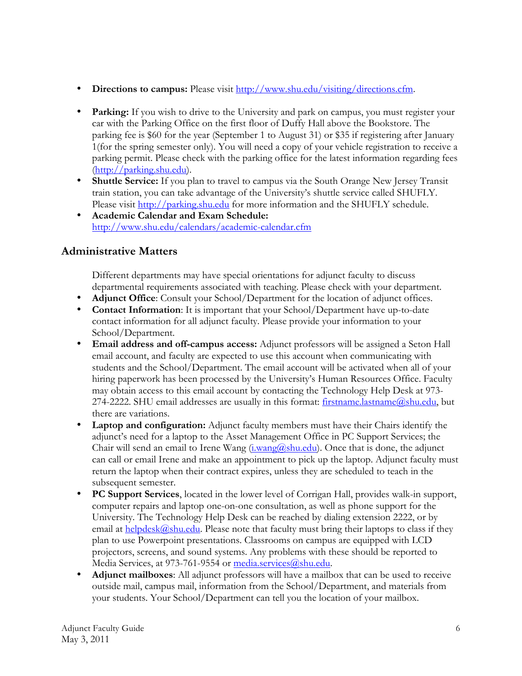- **Directions to campus:** Please visit http://www.shu.edu/visiting/directions.cfm.
- **Parking:** If you wish to drive to the University and park on campus, you must register your car with the Parking Office on the first floor of Duffy Hall above the Bookstore. The parking fee is \$60 for the year (September 1 to August 31) or \$35 if registering after January 1(for the spring semester only). You will need a copy of your vehicle registration to receive a parking permit. Please check with the parking office for the latest information regarding fees (http://parking.shu.edu).
- **Shuttle Service:** If you plan to travel to campus via the South Orange New Jersey Transit train station, you can take advantage of the University's shuttle service called SHUFLY. Please visit http://parking.shu.edu for more information and the SHUFLY schedule.
- **Academic Calendar and Exam Schedule:** http://www.shu.edu/calendars/academic-calendar.cfm

## **Administrative Matters**

Different departments may have special orientations for adjunct faculty to discuss departmental requirements associated with teaching. Please check with your department.

- **Adjunct Office**: Consult your School/Department for the location of adjunct offices.
- **Contact Information**: It is important that your School/Department have up-to-date contact information for all adjunct faculty. Please provide your information to your School/Department.
- **Email address and off-campus access:** Adjunct professors will be assigned a Seton Hall email account, and faculty are expected to use this account when communicating with students and the School/Department. The email account will be activated when all of your hiring paperwork has been processed by the University's Human Resources Office. Faculty may obtain access to this email account by contacting the Technology Help Desk at 973- 274-2222. SHU email addresses are usually in this format: *firstname.lastname@shu.edu*, but there are variations.
- **Laptop and configuration:** Adjunct faculty members must have their Chairs identify the adjunct's need for a laptop to the Asset Management Office in PC Support Services; the Chair will send an email to Irene Wang  $(i.\text{wang@shu.edu})$ . Once that is done, the adjunct can call or email Irene and make an appointment to pick up the laptop. Adjunct faculty must return the laptop when their contract expires, unless they are scheduled to teach in the subsequent semester.
- **PC Support Services**, located in the lower level of Corrigan Hall, provides walk-in support, computer repairs and laptop one-on-one consultation, as well as phone support for the University. The Technology Help Desk can be reached by dialing extension 2222, or by email at  $\frac{\text{helpdes}(a)}{\text{shu.edu}}$ . Please note that faculty must bring their laptops to class if they plan to use Powerpoint presentations. Classrooms on campus are equipped with LCD projectors, screens, and sound systems. Any problems with these should be reported to Media Services, at 973-761-9554 or media.services@shu.edu.
- **Adjunct mailboxes**: All adjunct professors will have a mailbox that can be used to receive outside mail, campus mail, information from the School/Department, and materials from your students. Your School/Department can tell you the location of your mailbox.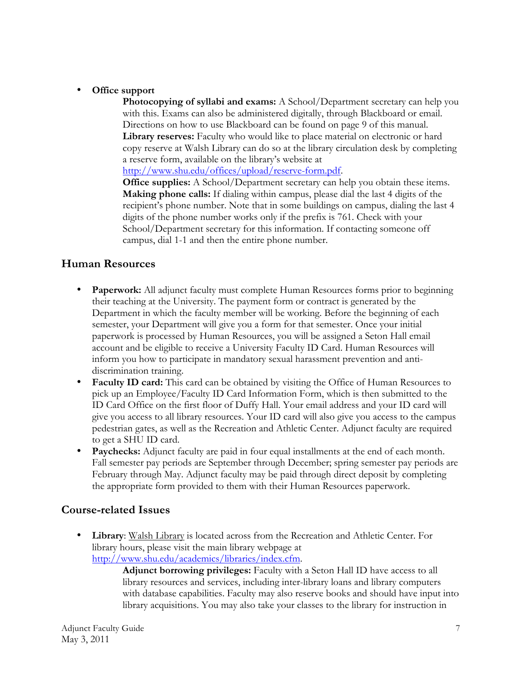### • **Office support**

**Photocopying of syllabi and exams:** A School/Department secretary can help you with this. Exams can also be administered digitally, through Blackboard or email. Directions on how to use Blackboard can be found on page 9 of this manual. **Library reserves:** Faculty who would like to place material on electronic or hard copy reserve at Walsh Library can do so at the library circulation desk by completing a reserve form, available on the library's website at

http://www.shu.edu/offices/upload/reserve-form.pdf.

**Office supplies:** A School/Department secretary can help you obtain these items. **Making phone calls:** If dialing within campus, please dial the last 4 digits of the recipient's phone number. Note that in some buildings on campus, dialing the last 4 digits of the phone number works only if the prefix is 761. Check with your School/Department secretary for this information. If contacting someone off campus, dial 1-1 and then the entire phone number.

### **Human Resources**

- **Paperwork:** All adjunct faculty must complete Human Resources forms prior to beginning their teaching at the University. The payment form or contract is generated by the Department in which the faculty member will be working. Before the beginning of each semester, your Department will give you a form for that semester. Once your initial paperwork is processed by Human Resources, you will be assigned a Seton Hall email account and be eligible to receive a University Faculty ID Card. Human Resources will inform you how to participate in mandatory sexual harassment prevention and antidiscrimination training.
- **Faculty ID card:** This card can be obtained by visiting the Office of Human Resources to pick up an Employee/Faculty ID Card Information Form, which is then submitted to the ID Card Office on the first floor of Duffy Hall. Your email address and your ID card will give you access to all library resources. Your ID card will also give you access to the campus pedestrian gates, as well as the Recreation and Athletic Center. Adjunct faculty are required to get a SHU ID card.
- **Paychecks:** Adjunct faculty are paid in four equal installments at the end of each month. Fall semester pay periods are September through December; spring semester pay periods are February through May. Adjunct faculty may be paid through direct deposit by completing the appropriate form provided to them with their Human Resources paperwork.

### **Course-related Issues**

• **Library**: Walsh Library is located across from the Recreation and Athletic Center. For library hours, please visit the main library webpage at http://www.shu.edu/academics/libraries/index.cfm.

> **Adjunct borrowing privileges:** Faculty with a Seton Hall ID have access to all library resources and services, including inter-library loans and library computers with database capabilities. Faculty may also reserve books and should have input into library acquisitions. You may also take your classes to the library for instruction in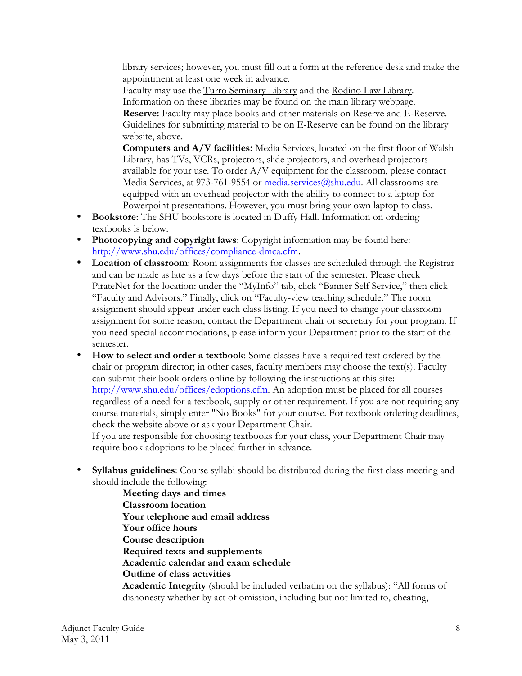library services; however, you must fill out a form at the reference desk and make the appointment at least one week in advance.

Faculty may use the Turro Seminary Library and the Rodino Law Library. Information on these libraries may be found on the main library webpage. **Reserve:** Faculty may place books and other materials on Reserve and E-Reserve. Guidelines for submitting material to be on E-Reserve can be found on the library website, above.

**Computers and A/V facilities:** Media Services, located on the first floor of Walsh Library, has TVs, VCRs, projectors, slide projectors, and overhead projectors available for your use. To order A/V equipment for the classroom, please contact Media Services, at 973-761-9554 or media.services@shu.edu. All classrooms are equipped with an overhead projector with the ability to connect to a laptop for Powerpoint presentations. However, you must bring your own laptop to class.

- **Bookstore**: The SHU bookstore is located in Duffy Hall. Information on ordering textbooks is below.
- **Photocopying and copyright laws**: Copyright information may be found here: http://www.shu.edu/offices/compliance-dmca.cfm.
- **Location of classroom**: Room assignments for classes are scheduled through the Registrar and can be made as late as a few days before the start of the semester. Please check PirateNet for the location: under the "MyInfo" tab, click "Banner Self Service," then click "Faculty and Advisors." Finally, click on "Faculty-view teaching schedule." The room assignment should appear under each class listing. If you need to change your classroom assignment for some reason, contact the Department chair or secretary for your program. If you need special accommodations, please inform your Department prior to the start of the semester.
- **How to select and order a textbook**: Some classes have a required text ordered by the chair or program director; in other cases, faculty members may choose the text(s). Faculty can submit their book orders online by following the instructions at this site: http://www.shu.edu/offices/edoptions.cfm. An adoption must be placed for all courses regardless of a need for a textbook, supply or other requirement. If you are not requiring any course materials, simply enter "No Books" for your course. For textbook ordering deadlines, check the website above or ask your Department Chair.

If you are responsible for choosing textbooks for your class, your Department Chair may require book adoptions to be placed further in advance.

• **Syllabus guidelines**: Course syllabi should be distributed during the first class meeting and should include the following:

**Meeting days and times Classroom location Your telephone and email address Your office hours Course description Required texts and supplements Academic calendar and exam schedule Outline of class activities Academic Integrity** (should be included verbatim on the syllabus): "All forms of dishonesty whether by act of omission, including but not limited to, cheating,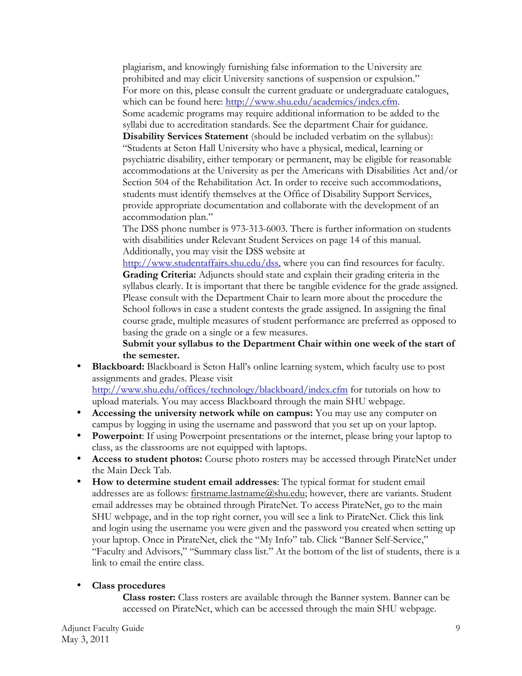plagiarism, and knowingly furnishing false information to the University are prohibited and may elicit University sanctions of suspension or expulsion." For more on this, please consult the current graduate or undergraduate catalogues, which can be found here: http://www.shu.edu/academics/index.cfm.

Some academic programs may require additional information to be added to the syllabi due to accreditation standards. See the department Chair for guidance.

**Disability Services Statement** (should be included verbatim on the syllabus): "Students at Seton Hall University who have a physical, medical, learning or psychiatric disability, either temporary or permanent, may be eligible for reasonable accommodations at the University as per the Americans with Disabilities Act and/or Section 504 of the Rehabilitation Act. In order to receive such accommodations, students must identify themselves at the Office of Disability Support Services, provide appropriate documentation and collaborate with the development of an accommodation plan."

The DSS phone number is 973-313-6003. There is further information on students with disabilities under Relevant Student Services on page 14 of this manual. Additionally, you may visit the DSS website at

http://www.studentaffairs.shu.edu/dss, where you can find resources for faculty. **Grading Criteria:** Adjuncts should state and explain their grading criteria in the syllabus clearly. It is important that there be tangible evidence for the grade assigned. Please consult with the Department Chair to learn more about the procedure the School follows in case a student contests the grade assigned. In assigning the final course grade, multiple measures of student performance are preferred as opposed to basing the grade on a single or a few measures.

**Submit your syllabus to the Department Chair within one week of the start of the semester.**

• **Blackboard:** Blackboard is Seton Hall's online learning system, which faculty use to post assignments and grades. Please visit

http://www.shu.edu/offices/technology/blackboard/index.cfm for tutorials on how to upload materials. You may access Blackboard through the main SHU webpage.

- **Accessing the university network while on campus:** You may use any computer on campus by logging in using the username and password that you set up on your laptop.
- **Powerpoint**: If using Powerpoint presentations or the internet, please bring your laptop to class, as the classrooms are not equipped with laptops.
- **Access to student photos:** Course photo rosters may be accessed through PirateNet under the Main Deck Tab.
- **How to determine student email addresses**: The typical format for student email addresses are as follows: firstname.lastname@shu.edu; however, there are variants. Student email addresses may be obtained through PirateNet. To access PirateNet, go to the main SHU webpage, and in the top right corner, you will see a link to PirateNet. Click this link and login using the username you were given and the password you created when setting up your laptop. Once in PirateNet, click the "My Info" tab. Click "Banner Self-Service," "Faculty and Advisors," "Summary class list." At the bottom of the list of students, there is a link to email the entire class.

#### • **Class procedures**

**Class roster:** Class rosters are available through the Banner system. Banner can be accessed on PirateNet, which can be accessed through the main SHU webpage.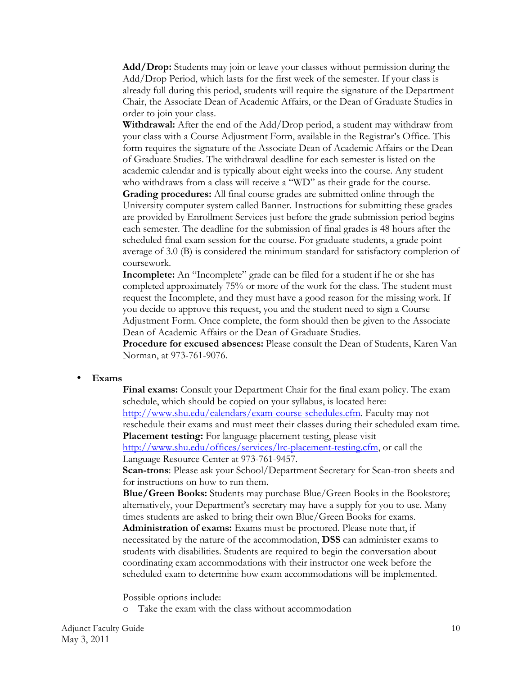**Add/Drop:** Students may join or leave your classes without permission during the Add/Drop Period, which lasts for the first week of the semester. If your class is already full during this period, students will require the signature of the Department Chair, the Associate Dean of Academic Affairs, or the Dean of Graduate Studies in order to join your class.

**Withdrawal:** After the end of the Add/Drop period, a student may withdraw from your class with a Course Adjustment Form, available in the Registrar's Office. This form requires the signature of the Associate Dean of Academic Affairs or the Dean of Graduate Studies. The withdrawal deadline for each semester is listed on the academic calendar and is typically about eight weeks into the course. Any student who withdraws from a class will receive a "WD" as their grade for the course.

**Grading procedures:** All final course grades are submitted online through the University computer system called Banner. Instructions for submitting these grades are provided by Enrollment Services just before the grade submission period begins each semester. The deadline for the submission of final grades is 48 hours after the scheduled final exam session for the course. For graduate students, a grade point average of 3.0 (B) is considered the minimum standard for satisfactory completion of coursework.

**Incomplete:** An "Incomplete" grade can be filed for a student if he or she has completed approximately 75% or more of the work for the class. The student must request the Incomplete, and they must have a good reason for the missing work. If you decide to approve this request, you and the student need to sign a Course Adjustment Form. Once complete, the form should then be given to the Associate Dean of Academic Affairs or the Dean of Graduate Studies.

**Procedure for excused absences:** Please consult the Dean of Students, Karen Van Norman, at 973-761-9076.

#### • **Exams**

**Final exams:** Consult your Department Chair for the final exam policy. The exam schedule, which should be copied on your syllabus, is located here: http://www.shu.edu/calendars/exam-course-schedules.cfm. Faculty may not reschedule their exams and must meet their classes during their scheduled exam time. **Placement testing:** For language placement testing, please visit http://www.shu.edu/offices/services/lrc-placement-testing.cfm, or call the

Language Resource Center at 973-761-9457.

**Scan-trons**: Please ask your School/Department Secretary for Scan-tron sheets and for instructions on how to run them.

**Blue/Green Books:** Students may purchase Blue/Green Books in the Bookstore; alternatively, your Department's secretary may have a supply for you to use. Many times students are asked to bring their own Blue/Green Books for exams.

**Administration of exams:** Exams must be proctored. Please note that, if necessitated by the nature of the accommodation, **DSS** can administer exams to students with disabilities. Students are required to begin the conversation about coordinating exam accommodations with their instructor one week before the scheduled exam to determine how exam accommodations will be implemented.

Possible options include:

o Take the exam with the class without accommodation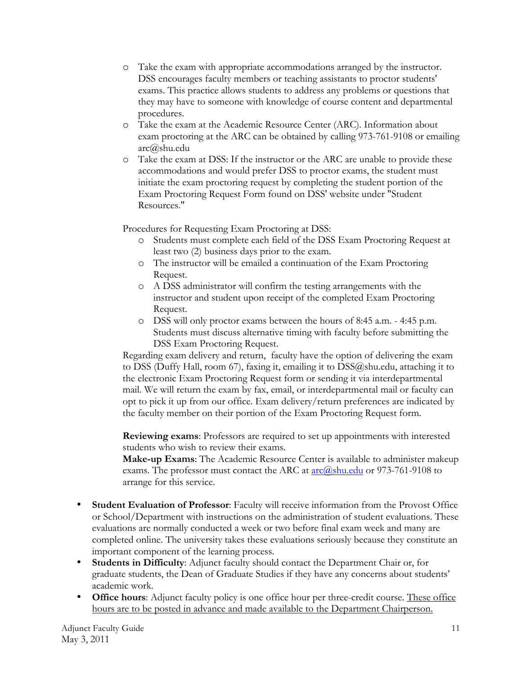- o Take the exam with appropriate accommodations arranged by the instructor. DSS encourages faculty members or teaching assistants to proctor students' exams. This practice allows students to address any problems or questions that they may have to someone with knowledge of course content and departmental procedures.
- o Take the exam at the Academic Resource Center (ARC). Information about exam proctoring at the ARC can be obtained by calling 973-761-9108 or emailing arc@shu.edu
- o Take the exam at DSS: If the instructor or the ARC are unable to provide these accommodations and would prefer DSS to proctor exams, the student must initiate the exam proctoring request by completing the student portion of the Exam Proctoring Request Form found on DSS' website under "Student Resources."

Procedures for Requesting Exam Proctoring at DSS:

- o Students must complete each field of the DSS Exam Proctoring Request at least two (2) business days prior to the exam.
- o The instructor will be emailed a continuation of the Exam Proctoring Request.
- o A DSS administrator will confirm the testing arrangements with the instructor and student upon receipt of the completed Exam Proctoring Request.
- o DSS will only proctor exams between the hours of 8:45 a.m. 4:45 p.m. Students must discuss alternative timing with faculty before submitting the DSS Exam Proctoring Request.

Regarding exam delivery and return, faculty have the option of delivering the exam to DSS (Duffy Hall, room 67), faxing it, emailing it to DSS@shu.edu, attaching it to the electronic Exam Proctoring Request form or sending it via interdepartmental mail. We will return the exam by fax, email, or interdepartmental mail or faculty can opt to pick it up from our office. Exam delivery/return preferences are indicated by the faculty member on their portion of the Exam Proctoring Request form.

**Reviewing exams**: Professors are required to set up appointments with interested students who wish to review their exams.

**Make-up Exams**: The Academic Resource Center is available to administer makeup exams. The professor must contact the ARC at  $\frac{\text{arc}(\hat{a}_{s} - \text{ln}a_{s})}{\text{ln}a_{s} + \text{ln}b_{s}}$  or 973-761-9108 to arrange for this service.

- **Student Evaluation of Professor**: Faculty will receive information from the Provost Office or School/Department with instructions on the administration of student evaluations. These evaluations are normally conducted a week or two before final exam week and many are completed online. The university takes these evaluations seriously because they constitute an important component of the learning process.
- **Students in Difficulty**: Adjunct faculty should contact the Department Chair or, for graduate students, the Dean of Graduate Studies if they have any concerns about students' academic work.
- **Office hours**: Adjunct faculty policy is one office hour per three-credit course. These office hours are to be posted in advance and made available to the Department Chairperson.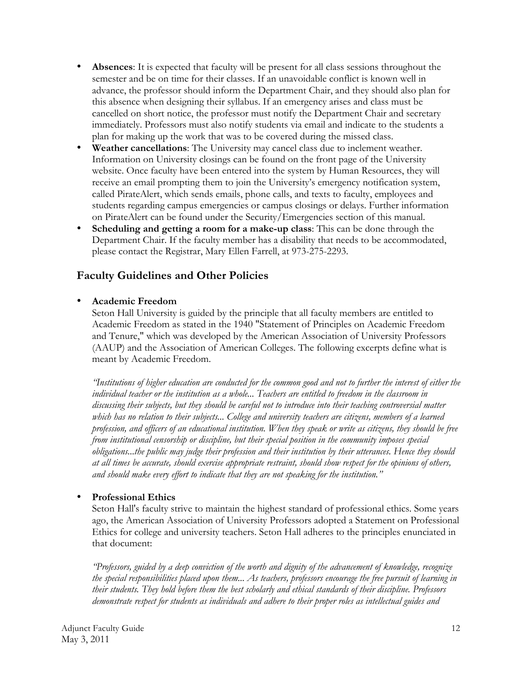- **Absences**: It is expected that faculty will be present for all class sessions throughout the semester and be on time for their classes. If an unavoidable conflict is known well in advance, the professor should inform the Department Chair, and they should also plan for this absence when designing their syllabus. If an emergency arises and class must be cancelled on short notice, the professor must notify the Department Chair and secretary immediately. Professors must also notify students via email and indicate to the students a plan for making up the work that was to be covered during the missed class.
- **Weather cancellations**: The University may cancel class due to inclement weather. Information on University closings can be found on the front page of the University website. Once faculty have been entered into the system by Human Resources, they will receive an email prompting them to join the University's emergency notification system, called PirateAlert, which sends emails, phone calls, and texts to faculty, employees and students regarding campus emergencies or campus closings or delays. Further information on PirateAlert can be found under the Security/Emergencies section of this manual.
- **Scheduling and getting a room for a make-up class**: This can be done through the Department Chair. If the faculty member has a disability that needs to be accommodated, please contact the Registrar, Mary Ellen Farrell, at 973-275-2293.

### **Faculty Guidelines and Other Policies**

### • **Academic Freedom**

Seton Hall University is guided by the principle that all faculty members are entitled to Academic Freedom as stated in the 1940 "Statement of Principles on Academic Freedom and Tenure," which was developed by the American Association of University Professors (AAUP) and the Association of American Colleges. The following excerpts define what is meant by Academic Freedom.

*"Institutions of higher education are conducted for the common good and not to further the interest of either the*  individual teacher or the institution as a whole... Teachers are entitled to freedom in the classroom in *discussing their subjects, but they should be careful not to introduce into their teaching controversial matter which has no relation to their subjects... College and university teachers are citizens, members of a learned profession, and officers of an educational institution. When they speak or write as citizens, they should be free from institutional censorship or discipline, but their special position in the community imposes special obligations...the public may judge their profession and their institution by their utterances. Hence they should at all times be accurate, should exercise appropriate restraint, should show respect for the opinions of others, and should make every effort to indicate that they are not speaking for the institution."*

### • **Professional Ethics**

Seton Hall's faculty strive to maintain the highest standard of professional ethics. Some years ago, the American Association of University Professors adopted a Statement on Professional Ethics for college and university teachers. Seton Hall adheres to the principles enunciated in that document:

*"Professors, guided by a deep conviction of the worth and dignity of the advancement of knowledge, recognize the special responsibilities placed upon them... As teachers, professors encourage the free pursuit of learning in their students. They hold before them the best scholarly and ethical standards of their discipline. Professors demonstrate respect for students as individuals and adhere to their proper roles as intellectual guides and*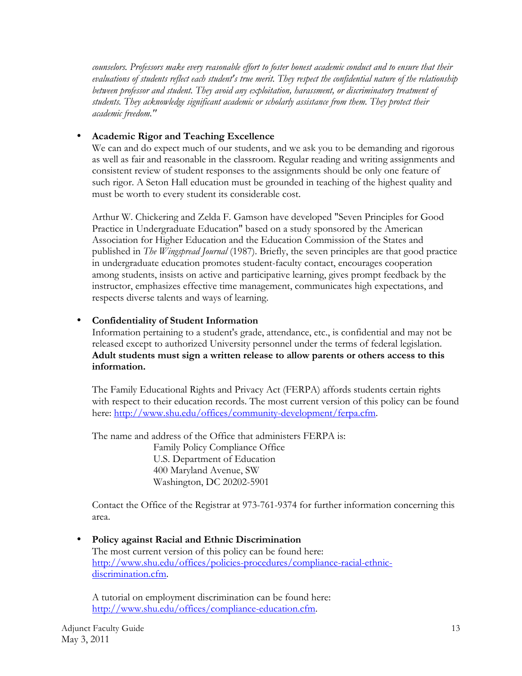*counselors. Professors make every reasonable effort to foster honest academic conduct and to ensure that their evaluations of students reflect each student's true merit. They respect the confidential nature of the relationship between professor and student. They avoid any exploitation, harassment, or discriminatory treatment of students. They acknowledge significant academic or scholarly assistance from them. They protect their academic freedom."*

#### • **Academic Rigor and Teaching Excellence**

We can and do expect much of our students, and we ask you to be demanding and rigorous as well as fair and reasonable in the classroom. Regular reading and writing assignments and consistent review of student responses to the assignments should be only one feature of such rigor. A Seton Hall education must be grounded in teaching of the highest quality and must be worth to every student its considerable cost.

Arthur W. Chickering and Zelda F. Gamson have developed "Seven Principles for Good Practice in Undergraduate Education" based on a study sponsored by the American Association for Higher Education and the Education Commission of the States and published in *The Wingspread Journal* (1987). Briefly, the seven principles are that good practice in undergraduate education promotes student-faculty contact, encourages cooperation among students, insists on active and participative learning, gives prompt feedback by the instructor, emphasizes effective time management, communicates high expectations, and respects diverse talents and ways of learning.

#### • **Confidentiality of Student Information**

Information pertaining to a student's grade, attendance, etc., is confidential and may not be released except to authorized University personnel under the terms of federal legislation. **Adult students must sign a written release to allow parents or others access to this information.**

The Family Educational Rights and Privacy Act (FERPA) affords students certain rights with respect to their education records. The most current version of this policy can be found here: http://www.shu.edu/offices/community-development/ferpa.cfm.

The name and address of the Office that administers FERPA is: Family Policy Compliance Office U.S. Department of Education 400 Maryland Avenue, SW Washington, DC 20202-5901

Contact the Office of the Registrar at 973-761-9374 for further information concerning this area.

• **Policy against Racial and Ethnic Discrimination** The most current version of this policy can be found here: http://www.shu.edu/offices/policies-procedures/compliance-racial-ethnicdiscrimination.cfm.

A tutorial on employment discrimination can be found here: http://www.shu.edu/offices/compliance-education.cfm.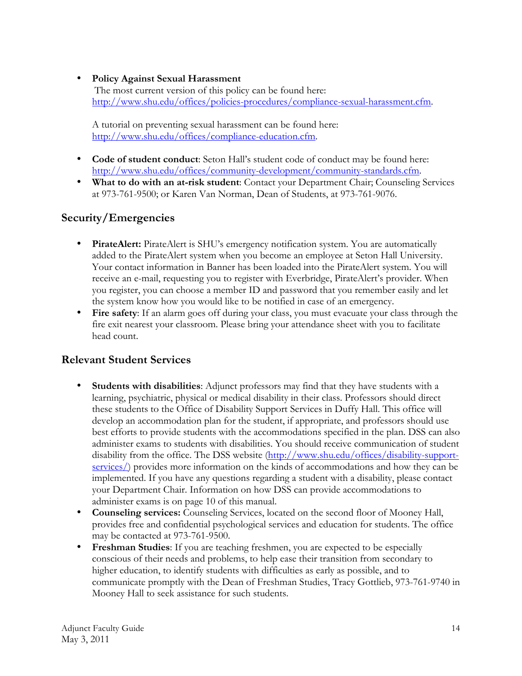### • **Policy Against Sexual Harassment**

The most current version of this policy can be found here: http://www.shu.edu/offices/policies-procedures/compliance-sexual-harassment.cfm.

A tutorial on preventing sexual harassment can be found here: http://www.shu.edu/offices/compliance-education.cfm.

- **Code of student conduct**: Seton Hall's student code of conduct may be found here: http://www.shu.edu/offices/community-development/community-standards.cfm.
- **What to do with an at-risk student**: Contact your Department Chair; Counseling Services at 973-761-9500; or Karen Van Norman, Dean of Students, at 973-761-9076.

# **Security/Emergencies**

- **PirateAlert:** PirateAlert is SHU's emergency notification system. You are automatically added to the PirateAlert system when you become an employee at Seton Hall University. Your contact information in Banner has been loaded into the PirateAlert system. You will receive an e-mail, requesting you to register with Everbridge, PirateAlert's provider. When you register, you can choose a member ID and password that you remember easily and let the system know how you would like to be notified in case of an emergency.
- **Fire safety**: If an alarm goes off during your class, you must evacuate your class through the fire exit nearest your classroom. Please bring your attendance sheet with you to facilitate head count.

## **Relevant Student Services**

- **Students with disabilities**: Adjunct professors may find that they have students with a learning, psychiatric, physical or medical disability in their class. Professors should direct these students to the Office of Disability Support Services in Duffy Hall. This office will develop an accommodation plan for the student, if appropriate, and professors should use best efforts to provide students with the accommodations specified in the plan. DSS can also administer exams to students with disabilities. You should receive communication of student disability from the office. The DSS website (http://www.shu.edu/offices/disability-supportservices/) provides more information on the kinds of accommodations and how they can be implemented. If you have any questions regarding a student with a disability, please contact your Department Chair. Information on how DSS can provide accommodations to administer exams is on page 10 of this manual.
- **Counseling services:** Counseling Services, located on the second floor of Mooney Hall, provides free and confidential psychological services and education for students. The office may be contacted at 973-761-9500.
- **Freshman Studies**: If you are teaching freshmen, you are expected to be especially conscious of their needs and problems, to help ease their transition from secondary to higher education, to identify students with difficulties as early as possible, and to communicate promptly with the Dean of Freshman Studies, Tracy Gottlieb, 973-761-9740 in Mooney Hall to seek assistance for such students.